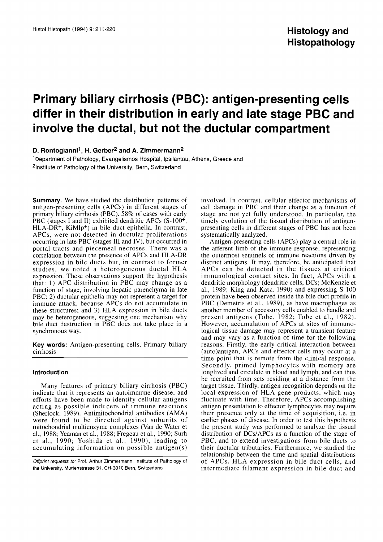# **Primary biliary cirrhosis (PBC): antigen-presenting cells differ in their distribution in early and late stage PBC and involve the ductal, but not the ductular compartment**

**D. Rontogianni<sup>1</sup>, H. Gerber<sup>2</sup> and A. Zimmermann<sup>2</sup>** 

<sup>1</sup>Department of Pathology, Evangelismos Hospital, Ipsilantou, Athens, Greece and <sup>2</sup>Institute of Pathology of the University, Bern, Switzerland

**Summary.** We have studied the distribution patterns of antigen-presenting cells (APCs) in different stages of primary biliary cirrhosis (PBC). 58% of cases with early PBC (stages I and II) exhibited dendritic APCs  $(S-100^+$ , HLA-DR+, KiMlp+) in bile duct epithelia. In contrast, APCs, were not detected in ductular proliferations occurring in late PBC (stages I11 and IV), but occurred in portal tracts and piecemeal necroses. There was a correlation between the presence of APCs and HLA-DR expression in bile ducts but, in contrast to former studies. we noted a heterogeneous ductal HLA expression. These observations support the hypothesis that: 1) APC distribution in PBC may change as a function of stage, involving hepatic parenchyma in late PBC; 2) ductular epithelia may not represent a target for immune attack, because APCs do not accumulate in these structures; and 3) HLA expression in bile ducts may be heterogeneous, suggesting one mechanism why bile duct destruction in PBC does not take place in a synchronous way.

**Key words:** Antigen-presenting cells, Primary biliary cirrhosis

# **Introduction**

Many features of primary biliary cirrhosis (PBC) indicate that it represents an autoimmune disease, and efforts have been made to identify cellular antigens acting as possible inducers of immune reactions (Sherlock, 1989). Antimitochondrial antibodies (AMA) were found to be directed against subunits of mitochondrial multienzyme complexes (Van de Water et al., 1988; Yeaman et al., 1988; Fregeau et al., 1990; Surh et al., 1990; Yoshida et al., 1990), leading to accumulating information on possible antigen(s)

Offprint requests to: Prof. Arthur Zimmermann, Institute of Pathology of the University. Murtenstrasse 31, CH-3010 Bern, Switzerland

involved. In contrast, cellular effector mechanisms of cell damage in PBC and their change as a function of stage are not yet fully understood. In particular, the timely evolution of the tissual distribution of antigenpresenting cells in different stages of PBC has not been systematically analyzed.

Antigen-presenting cells (APCs) play a central role in the afferent limb of the immune response, representing the outermost sentinels of immune reactions driven by distinct antigens. It may, therefore, be anticipated that APCs can be detected in the tissues at critical immunological contact sites. In fact, APCs with a dendritic morphology (dendritic cells, DCs; McKenzie et al., 1989; King and Katz, 1990) and expressing S-100 protein have been observed inside the bile duct profile in PBC (Demetris et al., 1989), as have macrophages as another member of accessory cells enabled to handle and present antigens (Tobe. 1982; Tobe et al., 1982). However, accumulation of APCs at sites of immunological tissue damage may represent a transient feature and may vary as a function of time for the following reasons. Firstly, the early critical interaction between (auto)antigen, APCs and effector cells may occur at a time point that is remote from the clinical response. Secondly, primed lymphocytes with memory are longlived and circulate in blood and lymph, and can thus be recruited from sets residing at a distance from the target tissue. Thirdly, antigen recognition depends on the local expression of HLA gene products, which may fluctuate with time. Therefore, APCs accomplishing antigen presentation to effector lymphocytes may require their presence only at the time of acquisition. i.e. in earlier phases of disease. In order to test this hypothesis the present study was performed to analyze the tissual distribution of DCsIAPCs as a function of the stage of PBC, and to extend investigations from bile ducts to their ductular tributaries. Furthermore, we studied the relationship between the time and spatial distributions of APCs, HLA expression in bile duct cells, and intermediate filament expression in bile duct and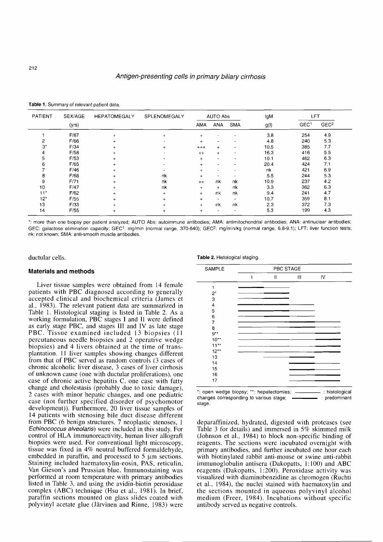| PATIENT | SEX/AGE | <b>HEPATOMEGALY</b> | SPLENOMEGALY             | IgM<br>AUTO Abs |                          |                          |      | LFT              |                  |
|---------|---------|---------------------|--------------------------|-----------------|--------------------------|--------------------------|------|------------------|------------------|
|         | (yrs)   |                     |                          | <b>AMA</b>      | <b>ANA</b>               | <b>SMA</b>               | g(1) | GEC <sup>1</sup> | GEC <sup>2</sup> |
|         | F/67    |                     | $\ddot{}$                | $+$             |                          | $\overline{\phantom{a}}$ | 3.8  | 254              | 4.9              |
| 2       | F/66    |                     |                          | $+$             |                          |                          | 4.8  | 240              | 5.3              |
| $3^*$   | F/34    |                     | $\ddot{}$                | $^{+++}$        | $+$                      | $\blacksquare$           | 10.5 | 385              | 77               |
| 4       | F/58    |                     |                          | $++$            | $\ddot{}$                | $\hat{\phantom{a}}$      | 16.3 | 416              | 5.5              |
| 5       | F/53    |                     |                          | $+$             | $\tilde{\phantom{a}}$    | ٠                        | 10.1 | 462              | 6.3              |
| 6       | F/65    |                     | $\overline{\phantom{a}}$ | $+$             | $\overline{\phantom{a}}$ | $\blacksquare$           | 20.4 | 424              | 7.1              |
|         | F/46    |                     |                          | $+$             | $\blacksquare$           | ۰                        | nk   | 421              | 6.9              |
| 8       | F/68    |                     | nk                       | $+$             | $\hat{\phantom{a}}$      |                          | 5.5  | 244              | 5.3              |
| 9       | F/71    |                     | nk                       | $++$            | nk                       | nk                       | 10.9 | 237              | 42               |
| 10      | F/47    | $+$                 | nk                       | $+$             | $\ddot{}$                | nk                       | 3.3  | 362              | 6.3              |
| $11*$   | F/62    |                     | $+$                      | $+$             | nk                       | nk                       | 9.4  | 241              | 4.7              |
| $12*$   | F/55    |                     |                          | $+$             | $\overline{\phantom{a}}$ | $\overline{\phantom{a}}$ | 10.7 | 359              | 8.1              |
| 13      | F/33    |                     |                          | $+$             | nk                       | nk                       | 2.3  | 372              | 7.3              |
| 14      | F/55    |                     | $\ddot{}$                | $+$             | $\overline{\phantom{a}}$ | $\blacksquare$           | 5.3  | 199              | 4.3              |

**Table 1.** Summary of relevant patient data.

\*: more than one biopsy per patient analyzed; AUTO Abs: autoimmune antibodies; AMA: antimitochondrial antibodies; ANA: antinuclear antibodies; GEC: galactose elimination capacity; GEC<sup>1</sup>: mg/min (normal range, 370-640); GEC<sup>2</sup>: mg/min/kg (normal range, 6.8-9.1); LFT: liver function tests; nk: not known; SMA: anti-smooth muscle antibodies.

# **Materials and methods**

Liver tissue samples were obtained from 14 female patients with PBC diagnosed according to generally accepted clinical and biochemical criteria (James et al., 1983). The relevant patient data are summarized in Table 1. Histological staging is listed in Table 2. As a working formulation, PBC stages I and II were defined as early stage PBC, and stages III and IV as late stage PBC. Tissue examined included 13 biopsies (11) percutaneous needle biopsies and 2 operative wedge biopsies) and 4 livers obtained at the time of transplantation. 11 liver samples showing changes different from that of PBC served as random controls (3 cases of chronic alcoholic liver disease, 3 cases of liver cirrhosis of unknown cause (one with ductular proliferations), one case of chronic active hepatitis C. one case with fatty change and cholestasis (probably due to toxic damage), 2 cases with minor hepatic changes, and one pediatric case (not further specified disorder of psychomotor development)). Furthermore, 20 liver tissue samples of 14 patients with stenosing bile duct disease different from PBC (6 benign structures, 7 neoplastic stenoses, 1 Echinococcus alveolaris) were included in this study. For control of HLA immunoreactivity, human liver allograft biopsies were used. For conventional light microscopy, tissue was fixed in 4% neutral buffered formaldehyde, embedded in paraffin, and processed to 5  $\mu$ m sections. Staining included haematoxylin-eosin, PAS, reticulin, Van Gieson's and Prussian blue. Immunostaining was performed at room temperature with primary antibodies listed in Table 3, and using the avidin-biotin peroxidase complex (ABC) technique (Hsu et al., 1981). In brief. paraffin sections mounted on glass slides coated with polyvinyl acetate glue (Jarvinen and Rinne, 1983) were

ductular cells. **Table 2.** Histological staging. **Table 2.** Histological staging.



\*: open wedge biopsy; \*\*: hepatectomies; --------------- : histological<br>changes corresponding to various stage: -------------------- : predominant changes corresponding to various stage; stage.

deparaffinized, hydrated, digested with proteases (see Table 3 for details) and immersed in *5%* skimmed milk (Johnson et al., 1984) to block non-specific binding of reagents. The sections were incubated overnight with primary antibodies, and further incubated one hour each with biotinylated rabbit anti-mouse or swine anti-rabbit immunoglobulin antisera (Dakopatts, 1:100) and ABC reagents (Dakopatts, 1:200). Peroxidase activity was visualized with diaminobenzidine as chromogen (Ruchti et al.. 1984), the nuclei stained with haematoxylin and the sections mounted in aqueous polyvinyl alcohol medium (Freer, 1984). Incubations without specific antibody served as negative controls.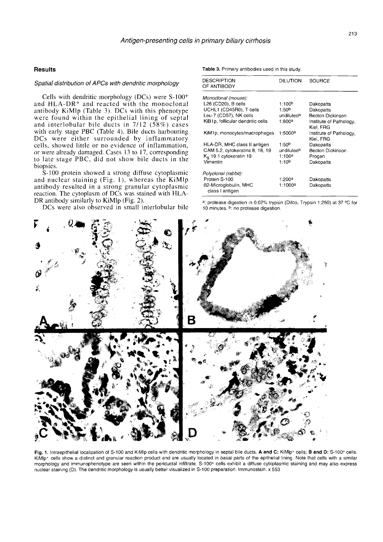### Spatial distribution of APCs with dendritic morphology

Cells with dendritic morphology (DCs) were  $S-100^+$ and  $HLA-DR<sup>+</sup>$  and reacted with the monoclonal antibody KiMlp (Table 3). DCs with this phenotype were found within the epithelial lining of septal and interlobular bile ducts in  $7/12$  (58%) cases with early stage PBC (Table 4). Bile ducts harbouring DCs were either surrounded by inflammatory cells, showed little or no evidence of inflammation, or were already damaged. Cases 13 to 17, corresponding to late stage PBC, did not show bile ducts in the biopsies.

S-100 protein showed a strong diffuse cytoplasmic and nuclear staining (Fig. 1), whereas the KiMlp antibody resulted in a strong granular cytoplasmic reaction. The cytoplasm of DCs was stained with HLA-<br>DR antibody similarly to KiMlp (Fig. 2).

DCs were also observed in small interlobular bile

**Results Results Results Table 3. Primary antibodies used in this study.** 

| <b>DESCRIPTION</b><br>OF ANTIBODY        | DILUTION           | <b>SOURCE</b>                        |
|------------------------------------------|--------------------|--------------------------------------|
| Monoclonal (mouse):                      |                    |                                      |
| L26 (CD20), B cells                      | 1:100 <sup>b</sup> | Dakopatts                            |
| UCHL1 (CD45R0), T cells                  | 1:50 <sup>b</sup>  | Dakopatts                            |
| Leu-7 (CD57), NK cells                   | undiluteda         | Becton Dickinson                     |
| KiB1p, follicular dendritic cells        | $1:800^a$          | Institute of Pathology,<br>Kiel. FRG |
| KiM1p, monocytes/macrophages             | 1:5000ª            | Institute of Pathology,<br>Kiel, FRG |
| HLA-DR, MHC class II antigen             | 1:50 <sup>b</sup>  | Dakopatts                            |
| CAM 5.2, cytokeratins 8, 18, 19          | undiluteda         | Becton Dickinson                     |
| $K_{\rm e}$ 19.1 cytokeratin 19          | 1:100ª             | Progen                               |
| Vimentin                                 | 1:10 <sup>b</sup>  | Dakopatts                            |
| Polyclonal (rabbit):                     |                    |                                      |
| Protein S-100                            | 1:200ª             | Dakopatts                            |
| 62-Microglobulin, MHC<br>class I antigen | $1:1000^a$         | Dakopatts                            |

<sup>a</sup>: protease digestion in 0.02% trypsin (Difco, Trypsin 1:250) at 37 °C for 10 minutes. <sup>b</sup>: no protease digestion.



Fig. 1. Intraepithelial localization of S-100 and KiMlp cells with dendritic morphology in septal bile ducts. A and C: KiMlp+ cells; B and D: S-100+ cells. KiMlp<sup>+</sup> cells show a distinct and granular reaction product and are usually located in basal parts of the epithelial lining. Note that cells with a similar morphology and immunophenotype are seen within the periductal infiltrate. S-100+ cells exhibit a diffuse cytoplasmic staining and may also express nuclear staining (D). The dendritic morphology is usually better visualized in 5-100 preparation. Immunostain. **X** 553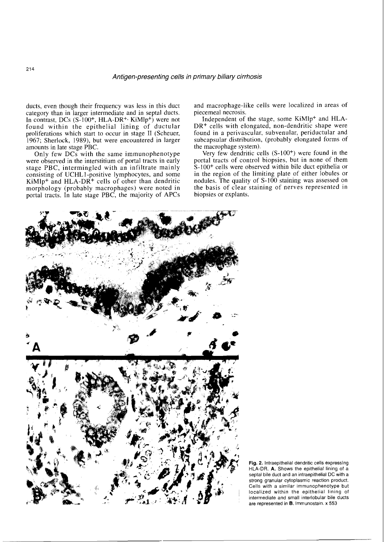ducts, even though their frequency was less in this duct category than in larger intermediate and in septal ducts. In contrast, DCs (S-100<sup>+</sup>, HLA-DR<sup>+,</sup> KiMlp<sup>+</sup>) were not found within the epithelial lining of ductular proliferations which start to occur in stage I1 (Scheuer, 1967; Sherlock, 1989), but were encountered in larger amounts in late stage PBC.

Only few DCs with the same immunophenotype were observed in the interstitium of portal tracts in early stage PBC, intermingled with an infiltrate mainly consisting of UCHL1-positive lymphocytes, and some  $KiMlp<sup>+</sup>$  and  $HLA-DR<sup>+</sup>$  cells of other than dendritic morphology (probably macrophages) were noted in portal tracts. In late stage PBC, the majority of APCs and macrophage-like cells were localized in areas of piecemeal necrosis.

Independent of the stage, some KiMlp+ and HLA-DR<sup>+</sup> cells with elongated, non-dendritic shape were found in a perivascular, subvenular, periductular and subcapsular distribution, (probably elongated forms of the macrophage system).

Very few dendritic cells (S-100<sup>+</sup>) were found in the portal tracts of control biopsies, but in none of them S-100+ cells were observed within bile duct epithelia or in the region of the limiting plate of either lobules or nodules. The quality of  $S-100$  staining was assessed on the basis of clear staining of nerves represented in biopsies or explants.



**Fig. 2.** lntraepithelial dendritic cells expresslng HLA-DR. **A.** Shows the epithelial lining of a septal bile duct and an intraepithelial DC with a strong granular cytoplasmic reaction product. Cells with a similar immunophenotype but localized within the epithelial lining of intermediate and small interlobular bile ducts are represented in **B.** Immunostain. x 553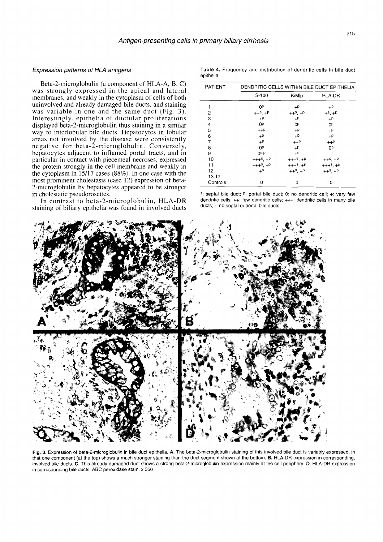# Expression patterns of HLA antigens

Beta-2-microglobulin (a component of HLA-A, B, C) was strongly expressed in the apical and lateral membranes. and weakly in the cytoplasm of cells of both uninvolved and already damaged bile ducts, and staining was variable in one and the same duct (Fig. *3).*  Interestingly, epithelia of ductular proliferations displayed beta-2-microglobulin thus staining in a similar way to interlobular bile ducts. Hepatocytes in lobular areas not involved by the disease were consistently negative for beta-2-microglobulin. Conversely, hepatocytes adjacent to inflamed portal tracts, and in particular in contact with piecemeal necroses, expressed the protein strongly in the cell membrane and weakly in the cytoplasm in 15/17 cases (88%). In one case with the most prominent cholestasis (case 12) expression of beta-2-microglobulin by hepatocytes appeared to be stronger in cholestatic pseudorosettes.

In contrast to beta-2-microglobulin, HLA-DR staining of biliary epithelia was found in involved ducts

Table **4.** Frequency and distribution of dendritic cells in bile duct epithelia.

| PATIENT  | DENDRITIC CELLS WITHIN BILE DUCT EPITHELIA |                |                |  |  |  |  |
|----------|--------------------------------------------|----------------|----------------|--|--|--|--|
|          | $S-100$                                    | KiMlp          | <b>HLA-DR</b>  |  |  |  |  |
|          | 0P                                         | $+P$           | $+P$           |  |  |  |  |
| 2        | $++^5$ , $+P$                              | $++^s$ , $+P$  | $+$ s, $+$ P   |  |  |  |  |
| 3        | $+P$                                       | $+P$           | $+P$           |  |  |  |  |
| 4        | 0P                                         | 0P             | ОP             |  |  |  |  |
| 5        | $++P$                                      | $+P$           | $+P$           |  |  |  |  |
| 6        | $+P$                                       | $+P$           | $+P$           |  |  |  |  |
| 7        | $+P$                                       | $++P$          | $++P$          |  |  |  |  |
| 8        | 0P                                         | $+P$           | OP             |  |  |  |  |
| 9        | O <sub>s</sub> b                           | $+$ s          | $+$ s          |  |  |  |  |
| 10       | $+++s$ , $+P$                              | $+++8$ , $+P$  | $++^5$ , $+^p$ |  |  |  |  |
| 11       | $+++8$ , $+P$                              | $+++8$ , $+P$  | $+++8$ , $+P$  |  |  |  |  |
| 12       | $+$ s                                      | $++^s$ , $+^p$ | $++^s$ +P      |  |  |  |  |
| 13-17    |                                            |                |                |  |  |  |  |
| Controls | 0                                          | 0              | 0              |  |  |  |  |

**S:** septal bile duct; **p:** portal bile duct; 0: no dendritic cell; +: very few dendritic cells; ++: few dendritic cells; +++: dendritic cells in many bile ducts; -: no septal or portal bile ducts.



Fig. 3. Expression of beta-2-microglobulin in bile duct epithelia. A. The beta-2-microglobulin staining of this involved bile duct is variably expressed, in that one component (at the top) shows a much stronger staining than the duct segment shown at the bottom. B. HLA-DR expression in corresponding, involved bile ducts. **C.** This already damaged duct shows a strong beta-2-microglobulin expression mainly at the cell periphery. D. HLA-DR expression in corresponding bile ducts. ABC peroxidase stain. x 350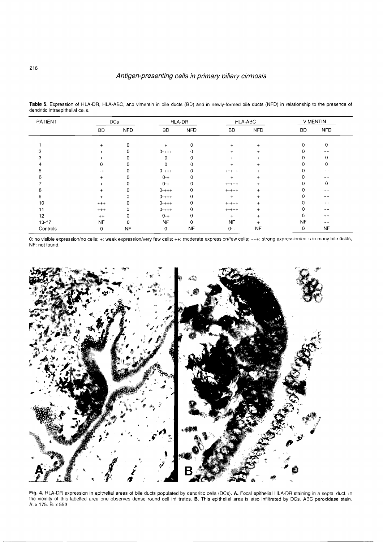# Antigen-presenting cells in primary biliary cirrhosis

| PATIENT   | <b>DCs</b> |            | HLA-DR     |             | HLA-ABC     |            | <b>VIMENTIN</b> |            |
|-----------|------------|------------|------------|-------------|-------------|------------|-----------------|------------|
|           | <b>BD</b>  | <b>NFD</b> | BD         | <b>NFD</b>  | BD.         | <b>NFD</b> | BD              | <b>NFD</b> |
|           | $+$        | 0          | $+$        | $\mathbf 0$ | $+$         | $+$        | 0               | 0          |
|           | $+$        | 0          | $0^{-+++}$ |             | $\ddot{}$   | $\ddot{}$  | 0               | $^{++}$    |
|           | $\ddot{}$  |            | $\Omega$   | C           | $\ddot{}$   | $\pm$      |                 | 0          |
|           | 0          |            | 0          |             | $\ddot{}$   | $\ddot{}$  |                 | 0          |
|           | $^{++}$    |            | $0^{-+++}$ |             | $^{+++++}$  | $\pm$      |                 | $^{++}$    |
|           | $+$        |            | $0 - +$    | 0           | $\ddot{}$   | $+$        |                 | $++$       |
|           | $\ddot{}$  |            | $0 - +$    | 0           | $^{***}$    | $+$        |                 | 0          |
|           | $\ddot{}$  |            | $0^{-+++}$ | 0           | $^{***}$    | $+$        |                 | $^{++}$    |
| 9         | $\ddot{}$  | n          | $0^{-+++}$ | 0           | $+$         | $+$        |                 | $++$       |
| 10        | $^{+++}$   |            | $0^{-+++}$ | 0           | $^{***}$    | $+$        |                 | $^{++}$    |
| 11        | $^{+++}$   | 0          | $0^{-+++}$ | 0           | $+ - + + +$ | $+$        |                 | $^{++}$    |
| 12        | $^{++}$    | 0          | $0 - +$    | 0           | $^{+}$      | $+$        |                 | $^{++}$    |
| $13 - 17$ | NF         | 0          | <b>NF</b>  | 0           | <b>NF</b>   |            | <b>NF</b>       | $^{++}$    |
| Controls  | 0          | <b>NF</b>  | 0          | <b>NF</b>   | $0 - +$     | <b>NF</b>  | 0               | <b>NF</b>  |

Table 5. Expression of HLA-DR, HLA-ABC, and vimentin in bile ducts (BD) and in newly-formed bile ducts (NFD) in relationship to the presence of dendritic intraepithelial cells.

0: no visible expression/no cells; +: weak expression/very few cells; ++: moderate expression/few cells; +++: strong expression/cells in many bile ducts; NF: not found.



**Fig.** 4. HLA-DR expression in epithelial areas of bile ducts populated by dendritic cells (DCs). **A.** Focal epithelial HLA-DR staining in a septal duct. In the vicinity of this labelled area one observes dense round cell infiltrates. B. This epithelial area is also infiltrated by DCs. ABC peroxidase stain. A: X 175. B: X 553

# 216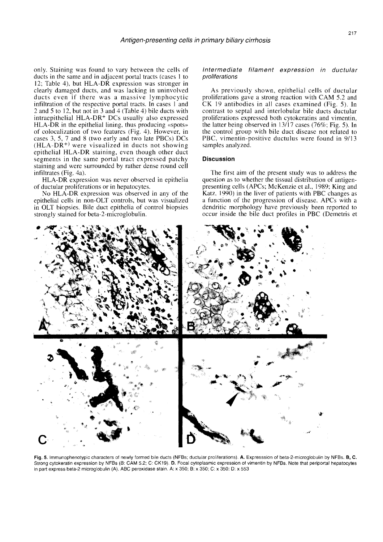only. Staining was found to vary between the cells of ducts in the same and in adjacent portal tracts (cases 1 to 12; Table 4), but HLA-DR expression was stronger in clearly damaged ducts, and was lacking in uninvolved ducts even if there was a massive lymphocytic infiltration of the respective portal tracts. In cases 1 and 2 and 5 to 12, but not in 3 and 4 (Table 4) bile ducts with intraepithelial HLA-DR+ DCs usually also expressed HLA-DR in the epithelial lining, thus producing  $\ll$ spots» of colocalization of two features (Fig. 4). However, in cases 3, 5, 7 and 8 (two early and two late PBCs) DCs  $(HLA-DR<sup>+</sup>)$  were visualized in ducts not showing epithelial HLA-DR staining, even though other duct segments in the same portal tract expressed patchy staining and were surrounded by rather dense round cell infiltrates (Fig. 4a).

HLA-DR expression was never observed in epithelia of ductular proliferations or in hepatocytes.

No HLA-DR expression was observed in any of the epithelial cells in non-OLT controls, but was visualized in OLT biopsies. Bile duct epithelia of control biopsies strongly stained for beta-2-microglobulin.

# Intermediate filament expression in ductular proliferations

As previously shown, epithelial cells of ductular proliferations gave a strong reaction with CAM 5.2 and CK 19 antibodies in all cases examined (Fig. 5). In contrast to septal and interlobular bile ducts ductular proliferations expressed both cytokeratins and vimentin, the latter being observed in  $13/17$  cases (76%; Fig. 5). In the control group with bile duct disease not related to PBC. vimentin-positive ductulus were found in 9/13 samples analyzed.

# **Discussion**

The first aim of the present study was to address the question as to whether the tissual distribution of antigenpresenting cells (APCs; McKenzie et al., 1989: King and Katz. 1990) in the liver of patients with PBC changes as a function of the progression of disease. APCs with a dendritic morphology have previously been reported to occur inside the bile duct profiles in PBC (Demetris et



Fig. 5. Immunophenotypic characters of newly formed bile ducts (NFBs; ductular proliferations). A. Expresssion of beta-2-microglobulin by NFBs. B, C. Strong cytokeratin expression by NFBs (B: CAM 5.2; C: CK19). D. Focal cytoplasmic expression of vimentin by NFBs. Note that periportal hepatocytes in part express beta-2 microglobulin (A). ABC peroxidase stain. A: x 350; B: x 350; C: x 350: D: x 553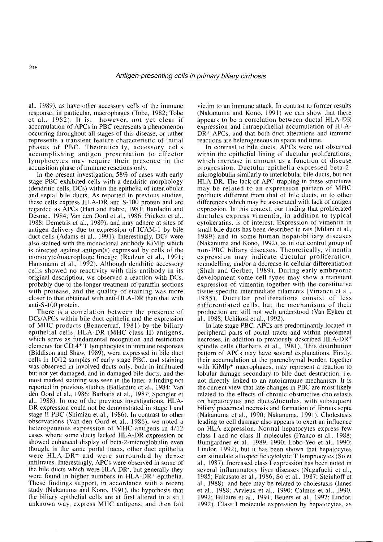al., 1989). as have other accessory cells of the immune response; in particular, macrophages (Tobe, 1982; Tobe et al., 1982). It is, however, not yet clear if accumulation of APCs in PBC represents a phenomenon occurring throughout all stages of this disease, or rather represents a transient feature characteristic of initial phases of PBC. Theoretically, accessory cells accomplishing antigen presentation to effector lymphocytes may require their presence in the acquisition phase of immune reactions only.

In the present investigation, 58% of cases with early stage PBC exhibited cells with a dendritic morphology (dendritic cells, DCs) within the epithelia of interlobular and septal bile ducts. As reported in previous studies, these cells express HLA-DR and S-100 protein and are regarded as APCs (Hart and Fabre, 1981; Bardadin and Desmet, 1984; Van den Oord et al., 1986; Prickett et al.. 1988: Demetris et al., 1989), and may adhere at sites of antigen delivery due to expression of ICAM-1 by bile duct cells (Adams et al., 1991). Interestingly, DCs were also stained with the monoclonal antibody KiMlp which is directed against antigen(s) expressed by cells of the monocyte/macrophage lineage (Radzun et al., 1991; Hansmann et al., 1992). Although dendritic accessory cells showed no reactivity with this antibody in its original description, we observed a reaction with DCs, probably due to the longer treatment of paraffin sections with protease, and the quality of staining was more closer to that obtained with anti-HLA-DR than that with anti-S- 100 protein.

There is a correlation between the presence of DCs/APCs within bile duct epithelia and the expression of MHC products (Benacerraf, 1981) by the biliary epithelial cells. HLA-DR (MHC-class 11) antigens, which serve as fundamental recognition and restriction elements for CD 4+ T lymphocytes in immune responses (Biddison and Shaw, 1989), were expressed in bile duct cells in 10/12 samples of early stage PBC, and staining was observed in involved ducts only, both in infiltrated but not yet damaged, and in damaged bile ducts, and the most marked staining was seen in the latter, a finding not reported in previous studies (Ballardini et al., 1984; Van den Oord et al., 1986; Barbatis et al., 1987; Spengler et al., 1988). In one of the previous investigations, HLA-DR expression could not be demonstrated in stage I and stage I1 PBC (Shimizu et al., 1986). In contrast to other observations (Van den Oord et al., 1986), we noted a heterogeneous expression of MHC antigens in 4/12 cases where some ducts lacked HLA-DR expression or showed enhanced display of beta-2-microglobulin even though, in the same portal tracts, other duct epithelia were HLA-DR<sup>+</sup> and were surrounded by dense infiltrates. Interestingly, APCs were observed in some of the bile ducts which were HLA-DR-, but generally they were found in higher numbers in HLA-DR<sup>+</sup> epithelia. These findings support, in accordance with a recent study (Nakanuma and Kono, 1991), the hypothesis that the biliary epithelial cells are at first altered in a still unknown way, express MHC antigens, and then fall victim to an immune attack. In contrast to former results (Nakanuma and Kono, 1991) we can show that there appears to be a correlation between ductal HLA-DR expression and intraepithelial accumulation of HLA- $DR<sup>+</sup>$  APC<sub>s</sub>, and that both duct alterations and immune reactions are heterogeneous in space and time.

In contrast to bile ducts, APCs were not observed within the epithelial lining of ductular proliferations, which increase in amount as a function of disease progression. Ductular epithelia expressed beta-2 microglobulin similarly to interlobular bile ducts, but not HLA-DR. The lack of APC trapping in these structures may be related to an expression pattern of MHC products different from that of bile ducts, or to other differences which may be associated with lack of antigen expression. In this context, our finding that proliferated ductules express vimentin, in addition to typical cytokeratins. is of interest. Expression of vimentin in small bile ducts has been described in rats (Milani et al., 1989) and in some human hepatobiliary diseases (Nakanuma and Kono, 1992), as in our control group of non-PBC biliary diseases. Theoretically, vimentin expression may indicate ductular proliferation, remodelling, and/or a decrease in cellular differentiation (Shah and Gerber, 1989). During early embryonic development some cell types may show a transient expression of vimentin together with the constitutive tissue-specific intermediate filaments (Virtanen et al., 1985). Ductular proliferations consist of less differentiated cells, but the mechanisms of their production are still not well understood (Van Eyken et al., 1988; Uchikosi et al., 1992).

In late stage PBC. APCs are predominantly located in peripheral parts of portal tracts and within piecemeal necroses, in addition to previously described HLA-DR+ spindle cells (Barbatis et al., 1981). This distribution pattern of APCs may have several explanations. Firstly, their accumulation at the parenchyma1 border, together with KiMlp<sup>+</sup> macrophages, may represent a reaction to lobular damage secondary to bile duct destruction, i.e. not directly linked to an autoimmune mechanism. It is the current view that late changes in PBC are most likely related to the effects of chronic obstructive cholestasis on hepatocytes and ducts/ductules, with subsequent biliary piecemeal necrosis and formation of fibrous septa (Nakanuma et al., 1990; Nakanuma, 1991). Cholestasis leading to cell damage also appears to exert an influence on HLA expression. Normal hepatocytes express few class I and no class I1 molecules (Franco et al.. 1988; Bumgardner et al., 1989, 1990: Lobo-Yeo et al., 1990; Lindor, 1992), but it has been shown that hepatocytes can stimulate allospecific cytolytic T lymphocytes (So et al.. 1987). Increased class I expression has been noted in several inflammatory liver diseases (Nagafuchi et al., 1985; Fukusato et al., 1986; So et al.. 1987; Steinhoff et al., 1988) and here may be related to cholestasis (Innes et al., 1988; Arvieux et al., 1990; Calmus et al., 1990, 1992; Hillaire et al., 1991; Beuers et al., 1992; Lindor, 1992). Class I molecule expression by hepatocytes, as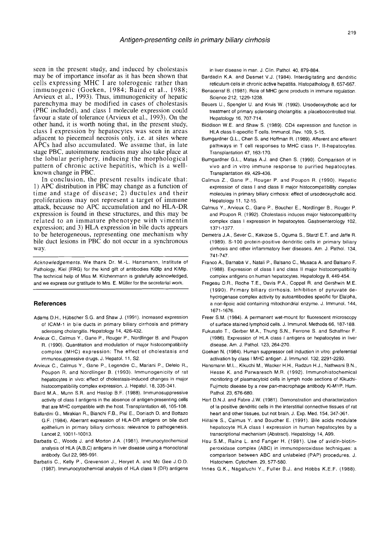seen in the present study, and induced by cholestasis may be of importance insofar as it has been shown that cells expressing MHC I are tolerogenic rather than immunogenic (Goeken, 1984; Baird et al., 1988; Arvieux et al., 1993). Thus, immunogenicity of hepatic parenchyma may be modified in cases of cholestasis (PBC included), and class I molecule expression could favour a state of tolerance (Arvieux et al., 1993). On the other hand, it is worth noting that, in the present study, class I expression by hepatocytes was seen in areas adjacent to piecemeal necrosis only, i.e. at sites where APCs had also accumulated. We assume that, in late stage PBC, autoimmune reactions may also take place at the lobular periphery, inducing the morphological pattern of chronic active hepatitis, which is a wellknown change in PBC.

In conclusion, the present results indicate that: 1) APC distribution in PBC may change as a function of time and stage of disease; 2) ductules and their proliferations may not represent a target of immune attack, because no APC accumulation and no HLA-DR expression is found in these structures, and this may be related to an immature phenotype with vimentin expression; and 3) HLA expression in bile ducts appears to be heterogeneous, representing one mechanism why bile duct lesions in PBC do not occur in a synchronous way.

Acknowledgements. We thank Dr. M.-L. Hansmann, Institute of Pathology, Kiel (FRG) for the kind gift of antibodies KiBlp and KiMlp. The technical help of Miss M. Kilchenmann is gratefully acknowledged, and we express our gratitude to Mrs. E. Müller for the secretarial work.

#### **References**

- Adams D.H., Hubscher S.G. and Shaw J. (1991). Increased expression of ICAM-I in bile ducts in primary biliary cirrhosis and primary sclerosing cholangitis. Hepatology 14, 426-432.
- Arvieux C., Calmus Y., Gane P., Rouger P., Nordlinger B. and Poupon R. (1990). Quantitation and modulation of major histocompatibility complex (MHC) expression: The effect of cholestasis and immunosuppressive drugs. J. Hepatol. 11, S2.
- Arvieux C., Calmus Y., Gane P., Legendre C., Mariani P., Delelo R., Poupon R. and Nordlinger B. (1993). lmmunogenicity of rat hepatocytes in vivo: effect of cholestasis-induced changes in major histocompatibility complex expression. J. Hepatol. 18, 335-341.
- Baird M.A., Munn S.R. and Heslop B.F. (1988). lmmunosuppressive activity of class I antigens in the absence of antigen-presenting cells that are MHC compatible with the host. Transplantation 46, 105-108.
- Ballardini G., Mirakian R., Bianchi F.B., Pisi E., Doniach D. and Bottazo G.F. (1984). Aberrant expression of HLA-DR antigens on bile duct epithelium in primary biliary cirrhosis: relevance to pathogenesis. Lancet 2, 10011-10013.
- Barbatis C., Woods J. and Morton J.A. (1981). lmmunocytochemical analysis of HLA (A,B,C) antigens in liver disease using a monoclonal antibody. Gut 22, 985-991.
- Barbatis C., Kelly P., Grevenson J., Heryet A. and MC Gee J.O.D. (1987). lmmunocytochemical analysis of HLA class II (DR) antigens

in liver disease in man. J. Clin. Pathol. 40, 879-884.

- Bardadin K.A. and Desmet V.J. (1984). lnterdigitating and dendritic reticulum cells in chronic active hepatitis. Histopathology 8, 657-667.
- Benacerraf B. (1981). Role of MHC gene products in immune regulation. Science 212, 1229-1238.
- Beuers U., Spengler U. and Kruis W. (1992). Ursodeoxycholic acid for treatment of primary sclerosing cholangitis: a placebocontrolled trial. Henatology 16, 707-714
- Biddison W.E. and Shaw S. (1989). CD4 expression and function in HLA class Il-specific T cells. Immunol. Rev. 109, 5-15.
- Bumgardner G.L., Chen S. and Hoffman R. (1989). Afferent and efferent pathways in T cell responses to MHC class I+, Il-hepatocytes. Transplantation 47, 163-170.
- Bumgardner G.L., Matas A.J. and Chen S. (1990). Comparison of in vivo and in vitro immune response to purified hepatocytes. Transplantation 49, 429-436.
- Calmus Z., Gane P., Rouger P. and Poupon R. (1990). Hepatic expression of class I and class II major histocompatibility complex molecules in primary biliary cirrhosis: effect of ursodeoxycholic acid. Hepatology 11, 12-15.
- Calmus Y., Arvieux C., Gane P., Boucher E., Nordlinger B., Rouger P. and Poupon R. (1 992). Cholestasis induces major histocompatibility complex class I expression in hepatocytes. Gastroenterology 102, 1371-1 377.
- Demetris J.A., Sever C., Kakizoe S., Oguma S., Starzl E.T. and Jaffe R. (1989). 5-100 protein-positive dendritic cells in primary biliary cirrhosis and other inflammatory liver diseases. Am. J. Pathol. 134, 741 -747.
- Franco A., Barnaba V., Natali P., Balsano C., Musaca A. and Balsano F. (1988). Expression of class I and class II major histocompatibility complex antigens on human hepatocytes. Hepatology 8, 449-454.
- Fregeau D.R., Roche T.E., Davis P.A., Coppel R. and Gershwin M.E. (1990). Primary biliary cirrhosis. Inhibition of pyruvate dehydrogenase complex activity by autoantibodies specific for Elalpha, a non-lipoic acid containing mitochondrial enzyme. J. Immunol. 144, 1671-1676.
- Freer S.M. (1984). A permanent wet-mount for fluorescent microscopy of surface stained lymphoid cells. J. Immunol. Methods 66, 187-188.
- Fukusato T., Gerber M.A., Thung S.N., Ferrone S. and Schaffner F. (1986). Expression of HLA class I antigens on hepatocytes in liver disease. Am. J. Pathol. 123, 264-270.
- Goeken N. (1984). Human suppressor cell induction in vitro: preferential activation by class I MHC antigen. J. Immunol. 132, 2291-2293.
- Hansmann M.L., Kikuchi M., Wacker H.H., Radzun H.J., Nathwani B.N., Hesse K. and Parwaresch M.R. (1992). lmmunohistochemical monitoring of plasmacytoid cells in lymph node sections of Kikuchi-Fujimoto disease by a new pan-macrophage antibody Ki-M1P. Hum. Pathol. 23, 676-680.
- Hart D.N.J. and Fabre J.W. (1981). Demonstration and characterization of la-positive dendritic cells in the interstitial connective tissues of rat heart and other tissues, but not brain. J. Exp. Med. 154, 347-361.
- Hillaire S., Calmus Y. and Boucher E. (1991). Bile acids modulate hepatocyte HLA class I expression in human hepatocytes by a transcriptional mechanism (Abstract). Hepatology 14, A99.
- Hsu S.M., Raine L. and Fanger H. (1981). Use of avidin-biotinperoxidase complex (ABC) in immunoperoxidase techniques: a comparison between ABC and unlabeled (PAP) procedures. J. Histochem. Cytochem. 29, 577-580.
- lnnes G.K., Nagafuchi Y., Fuller B.J. and Hobbs K.E.F. (1988).